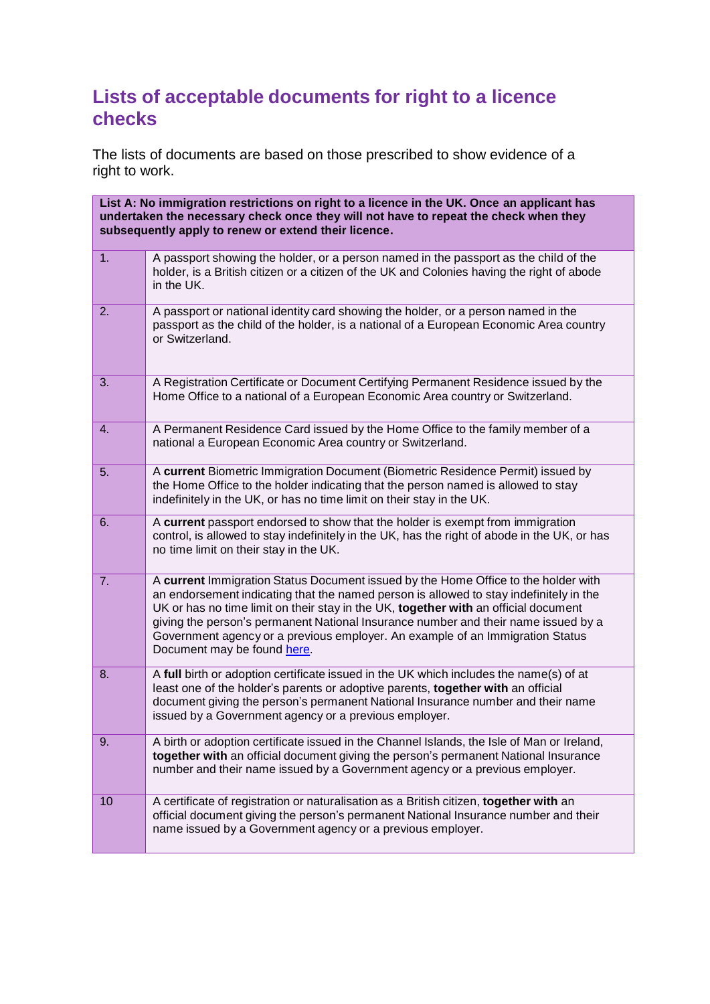## **Lists of acceptable documents for right to a licence checks**

The lists of documents are based on those prescribed to show evidence of a right to work.

| List A: No immigration restrictions on right to a licence in the UK. Once an applicant has<br>undertaken the necessary check once they will not have to repeat the check when they<br>subsequently apply to renew or extend their licence. |                                                                                                                                                                                                                                                                                                                                                                                                                                                                           |
|--------------------------------------------------------------------------------------------------------------------------------------------------------------------------------------------------------------------------------------------|---------------------------------------------------------------------------------------------------------------------------------------------------------------------------------------------------------------------------------------------------------------------------------------------------------------------------------------------------------------------------------------------------------------------------------------------------------------------------|
| 1.                                                                                                                                                                                                                                         | A passport showing the holder, or a person named in the passport as the child of the<br>holder, is a British citizen or a citizen of the UK and Colonies having the right of abode<br>in the UK.                                                                                                                                                                                                                                                                          |
| 2.                                                                                                                                                                                                                                         | A passport or national identity card showing the holder, or a person named in the<br>passport as the child of the holder, is a national of a European Economic Area country<br>or Switzerland.                                                                                                                                                                                                                                                                            |
| 3.                                                                                                                                                                                                                                         | A Registration Certificate or Document Certifying Permanent Residence issued by the<br>Home Office to a national of a European Economic Area country or Switzerland.                                                                                                                                                                                                                                                                                                      |
| 4.                                                                                                                                                                                                                                         | A Permanent Residence Card issued by the Home Office to the family member of a<br>national a European Economic Area country or Switzerland.                                                                                                                                                                                                                                                                                                                               |
| 5.                                                                                                                                                                                                                                         | A current Biometric Immigration Document (Biometric Residence Permit) issued by<br>the Home Office to the holder indicating that the person named is allowed to stay<br>indefinitely in the UK, or has no time limit on their stay in the UK.                                                                                                                                                                                                                             |
| 6.                                                                                                                                                                                                                                         | A current passport endorsed to show that the holder is exempt from immigration<br>control, is allowed to stay indefinitely in the UK, has the right of abode in the UK, or has<br>no time limit on their stay in the UK.                                                                                                                                                                                                                                                  |
| 7.                                                                                                                                                                                                                                         | A current Immigration Status Document issued by the Home Office to the holder with<br>an endorsement indicating that the named person is allowed to stay indefinitely in the<br>UK or has no time limit on their stay in the UK, together with an official document<br>giving the person's permanent National Insurance number and their name issued by a<br>Government agency or a previous employer. An example of an Immigration Status<br>Document may be found here. |
| 8.                                                                                                                                                                                                                                         | A full birth or adoption certificate issued in the UK which includes the name(s) of at<br>least one of the holder's parents or adoptive parents, together with an official<br>document giving the person's permanent National Insurance number and their name<br>issued by a Government agency or a previous employer.                                                                                                                                                    |
| 9.                                                                                                                                                                                                                                         | A birth or adoption certificate issued in the Channel Islands, the Isle of Man or Ireland,<br>together with an official document giving the person's permanent National Insurance<br>number and their name issued by a Government agency or a previous employer.                                                                                                                                                                                                          |
| 10                                                                                                                                                                                                                                         | A certificate of registration or naturalisation as a British citizen, together with an<br>official document giving the person's permanent National Insurance number and their<br>name issued by a Government agency or a previous employer.                                                                                                                                                                                                                               |